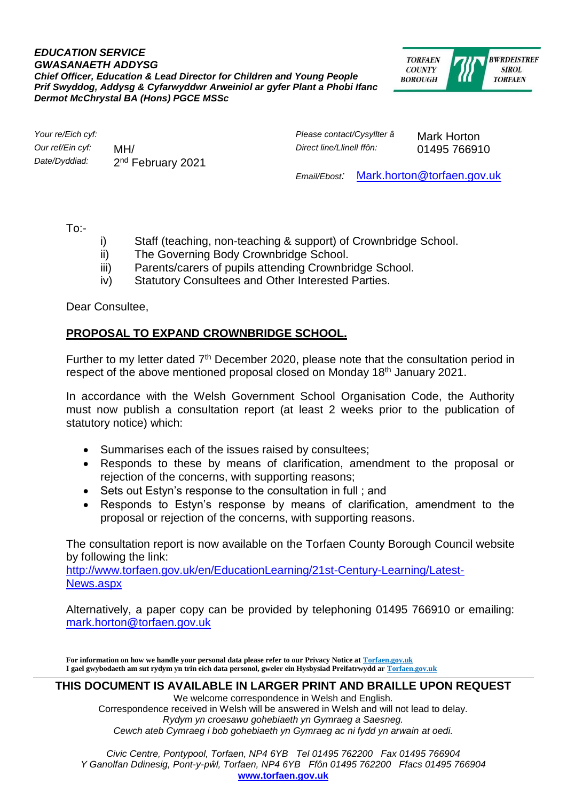## *EDUCATION SERVICE GWASANAETH ADDYSG Chief Officer, Education & Lead Director for Children and Young People Prif Swyddog, Addysg & Cyfarwyddwr Arweiniol ar gyfer Plant a Phobi Ifanc Dermot McChrystal BA (Hons) PGCE MSSc*



*Our ref/Ein cyf:* MH/ *Direct line/Llinell ffôn:* 01495 766910 Date/Dyddiad: 2<sup>nd</sup> February 2021

*Your re/Eich cyf: Please contact/Cysyllter â* Mark Horton

*Email/Ebost:* [Mark.horton@torfaen.gov.uk](mailto:Mark.horton@torfaen.gov.uk)

 $To:$ 

- i) Staff (teaching, non-teaching & support) of Crownbridge School.
- ii) The Governing Body Crownbridge School.
- iii) Parents/carers of pupils attending Crownbridge School.
- iv) Statutory Consultees and Other Interested Parties.

Dear Consultee,

## **PROPOSAL TO EXPAND CROWNBRIDGE SCHOOL.**

Further to my letter dated  $7<sup>th</sup>$  December 2020, please note that the consultation period in respect of the above mentioned proposal closed on Monday 18th January 2021.

In accordance with the Welsh Government School Organisation Code, the Authority must now publish a consultation report (at least 2 weeks prior to the publication of statutory notice) which:

- Summarises each of the issues raised by consultees;
- Responds to these by means of clarification, amendment to the proposal or rejection of the concerns, with supporting reasons;
- Sets out Estyn's response to the consultation in full ; and
- Responds to Estyn's response by means of clarification, amendment to the proposal or rejection of the concerns, with supporting reasons.

The consultation report is now available on the Torfaen County Borough Council website by following the link:

[http://www.torfaen.gov.uk/en/EducationLearning/21st-Century-Learning/Latest-](http://www.torfaen.gov.uk/en/EducationLearning/21st-Century-Learning/Latest-News.aspx)[News.aspx](http://www.torfaen.gov.uk/en/EducationLearning/21st-Century-Learning/Latest-News.aspx)

Alternatively, a paper copy can be provided by telephoning 01495 766910 or emailing: [mark.horton@torfaen.gov.uk](mailto:mark.horton@torfaen.gov.uk)

**For information on how we handle your personal data please refer to our Privacy Notice a[t Torfaen.gov.uk](http://www.torfaen.gov.uk/en/AboutTheCouncil/DataProtectionFreedomofInformation/DataProtection/Privacy-Notice/PrivacyNotice.aspx) I gael gwybodaeth am sut rydym yn trin eich data personol, gweler ein Hysbysiad Preifatrwydd a[r Torfaen.gov.uk](http://www.torfaen.gov.uk/en/AboutTheCouncil/DataProtectionFreedomofInformation/DataProtection/Privacy-Notice/PrivacyNotice.aspx)**

**THIS DOCUMENT IS AVAILABLE IN LARGER PRINT AND BRAILLE UPON REQUEST**

We welcome correspondence in Welsh and English. Correspondence received in Welsh will be answered in Welsh and will not lead to delay. *Rydym yn croesawu gohebiaeth yn Gymraeg a Saesneg. Cewch ateb Cymraeg i bob gohebiaeth yn Gymraeg ac ni fydd yn arwain at oedi.*

*Civic Centre, Pontypool, Torfaen, NP4 6YB Tel 01495 762200 Fax 01495 766904 Y Ganolfan Ddinesig, Pont-y-pŵl, Torfaen, NP4 6YB Ffôn 01495 762200 Ffacs 01495 766904* **[www.torfaen.gov.uk](http://www.torfaen.gov.uk/)**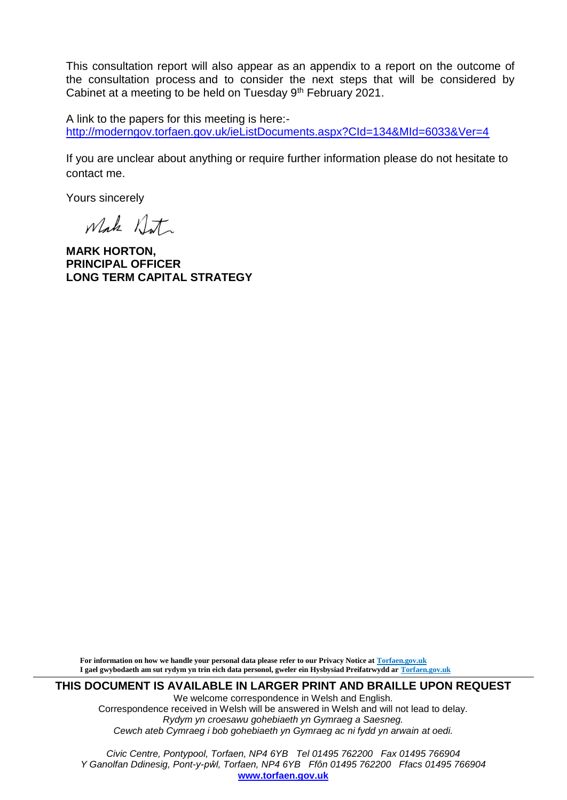This consultation report will also appear as an appendix to a report on the outcome of the consultation process and to consider the next steps that will be considered by Cabinet at a meeting to be held on Tuesday 9<sup>th</sup> February 2021.

A link to the papers for this meeting is here: <http://moderngov.torfaen.gov.uk/ieListDocuments.aspx?CId=134&MId=6033&Ver=4>

If you are unclear about anything or require further information please do not hesitate to contact me.

Yours sincerely

Whake Anta

**MARK HORTON, PRINCIPAL OFFICER LONG TERM CAPITAL STRATEGY** 

 **For information on how we handle your personal data please refer to our Privacy Notice at [Torfaen.gov.uk](http://www.torfaen.gov.uk/en/AboutTheCouncil/DataProtectionFreedomofInformation/DataProtection/Privacy-Notice/PrivacyNotice.aspx) I gael gwybodaeth am sut rydym yn trin eich data personol, gweler ein Hysbysiad Preifatrwydd ar [Torfaen.gov.uk](http://www.torfaen.gov.uk/en/AboutTheCouncil/DataProtectionFreedomofInformation/DataProtection/Privacy-Notice/PrivacyNotice.aspx)**

**THIS DOCUMENT IS AVAILABLE IN LARGER PRINT AND BRAILLE UPON REQUEST**

We welcome correspondence in Welsh and English. Correspondence received in Welsh will be answered in Welsh and will not lead to delay. *Rydym yn croesawu gohebiaeth yn Gymraeg a Saesneg. Cewch ateb Cymraeg i bob gohebiaeth yn Gymraeg ac ni fydd yn arwain at oedi.*

*Civic Centre, Pontypool, Torfaen, NP4 6YB Tel 01495 762200 Fax 01495 766904 Y Ganolfan Ddinesig, Pont-y-pŵl, Torfaen, NP4 6YB Ffôn 01495 762200 Ffacs 01495 766904* **[www.torfaen.gov.uk](http://www.torfaen.gov.uk/)**